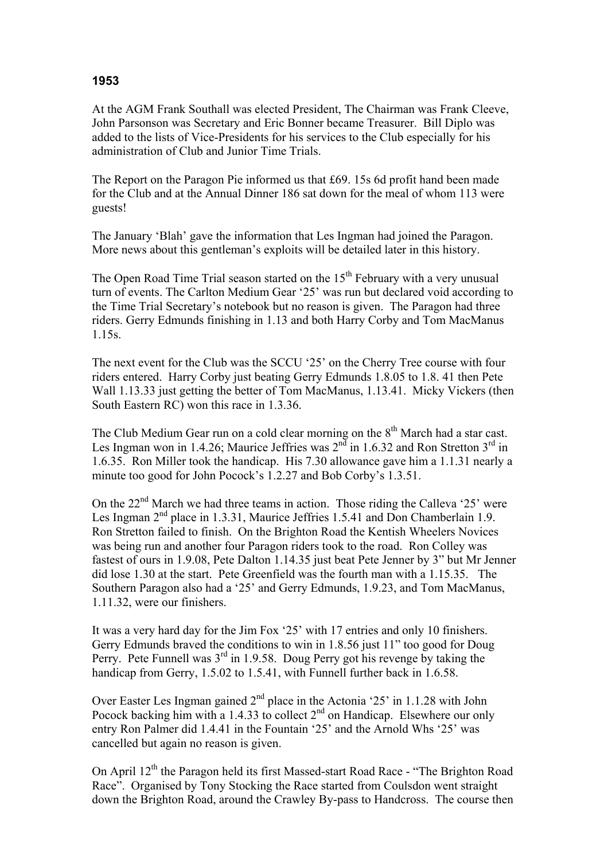## **1953**

At the AGM Frank Southall was elected President, The Chairman was Frank Cleeve, John Parsonson was Secretary and Eric Bonner became Treasurer. Bill Diplo was added to the lists of Vice-Presidents for his services to the Club especially for his administration of Club and Junior Time Trials.

The Report on the Paragon Pie informed us that £69. 15s 6d profit hand been made for the Club and at the Annual Dinner 186 sat down for the meal of whom 113 were guests!

The January 'Blah' gave the information that Les Ingman had joined the Paragon. More news about this gentleman's exploits will be detailed later in this history.

The Open Road Time Trial season started on the  $15<sup>th</sup>$  February with a very unusual turn of events. The Carlton Medium Gear '25' was run but declared void according to the Time Trial Secretary's notebook but no reason is given. The Paragon had three riders. Gerry Edmunds finishing in 1.13 and both Harry Corby and Tom MacManus 1.15s.

The next event for the Club was the SCCU '25' on the Cherry Tree course with four riders entered. Harry Corby just beating Gerry Edmunds 1.8.05 to 1.8. 41 then Pete Wall 1.13.33 just getting the better of Tom MacManus, 1.13.41. Micky Vickers (then South Eastern RC) won this race in 1.3.36.

The Club Medium Gear run on a cold clear morning on the  $8<sup>th</sup>$  March had a star cast. Les Ingman won in 1.4.26; Maurice Jeffries was  $2<sup>nd</sup>$  in 1.6.32 and Ron Stretton  $3<sup>rd</sup>$  in 1.6.35. Ron Miller took the handicap. His 7.30 allowance gave him a 1.1.31 nearly a minute too good for John Pocock's 1.2.27 and Bob Corby's 1.3.51.

On the  $22<sup>nd</sup>$  March we had three teams in action. Those riding the Calleva '25' were Les Ingman  $2<sup>nd</sup>$  place in 1.3.31, Maurice Jeffries 1.5.41 and Don Chamberlain 1.9. Ron Stretton failed to finish. On the Brighton Road the Kentish Wheelers Novices was being run and another four Paragon riders took to the road. Ron Colley was fastest of ours in 1.9.08, Pete Dalton 1.14.35 just beat Pete Jenner by 3" but Mr Jenner did lose 1.30 at the start. Pete Greenfield was the fourth man with a 1.15.35. The Southern Paragon also had a '25' and Gerry Edmunds, 1.9.23, and Tom MacManus, 1.11.32, were our finishers.

It was a very hard day for the Jim Fox '25' with 17 entries and only 10 finishers. Gerry Edmunds braved the conditions to win in 1.8.56 just 11" too good for Doug Perry. Pete Funnell was  $3<sup>rd</sup>$  in 1.9.58. Doug Perry got his revenge by taking the handicap from Gerry, 1.5.02 to 1.5.41, with Funnell further back in 1.6.58.

Over Easter Les Ingman gained  $2<sup>nd</sup>$  place in the Actonia '25' in 1.1.28 with John Pocock backing him with a  $1.4.33$  to collect  $2<sup>nd</sup>$  on Handicap. Elsewhere our only entry Ron Palmer did 1.4.41 in the Fountain '25' and the Arnold Whs '25' was cancelled but again no reason is given.

On April 12<sup>th</sup> the Paragon held its first Massed-start Road Race - "The Brighton Road Race". Organised by Tony Stocking the Race started from Coulsdon went straight down the Brighton Road, around the Crawley By-pass to Handcross. The course then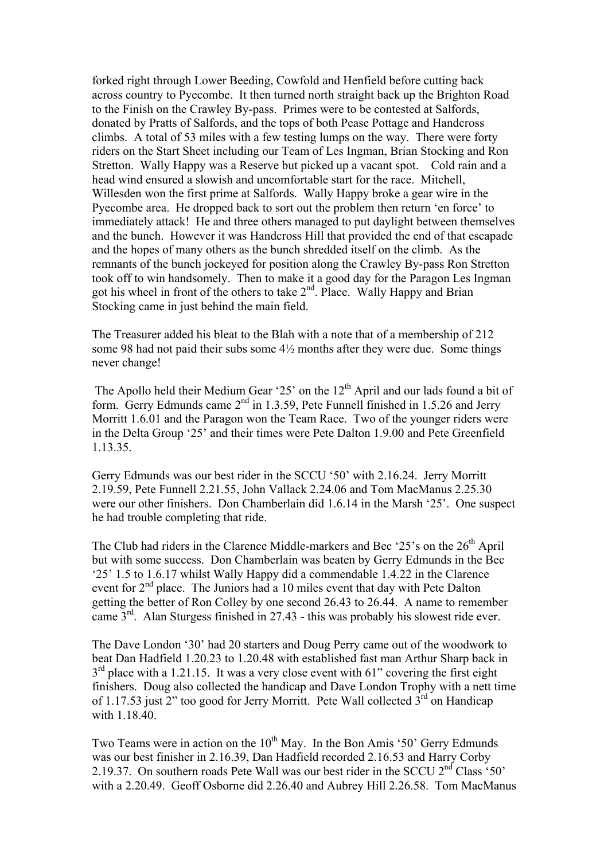forked right through Lower Beeding, Cowfold and Henfield before cutting back across country to Pyecombe. It then turned north straight back up the Brighton Road to the Finish on the Crawley By-pass. Primes were to be contested at Salfords, donated by Pratts of Salfords, and the tops of both Pease Pottage and Handcross climbs. A total of 53 miles with a few testing lumps on the way. There were forty riders on the Start Sheet including our Team of Les Ingman, Brian Stocking and Ron Stretton. Wally Happy was a Reserve but picked up a vacant spot. Cold rain and a head wind ensured a slowish and uncomfortable start for the race. Mitchell, Willesden won the first prime at Salfords. Wally Happy broke a gear wire in the Pyecombe area. He dropped back to sort out the problem then return 'en force' to immediately attack! He and three others managed to put daylight between themselves and the bunch. However it was Handcross Hill that provided the end of that escapade and the hopes of many others as the bunch shredded itself on the climb. As the remnants of the bunch jockeyed for position along the Crawley By-pass Ron Stretton took off to win handsomely. Then to make it a good day for the Paragon Les Ingman got his wheel in front of the others to take 2<sup>nd</sup>. Place. Wally Happy and Brian Stocking came in just behind the main field.

The Treasurer added his bleat to the Blah with a note that of a membership of 212 some 98 had not paid their subs some 4½ months after they were due. Some things never change!

The Apollo held their Medium Gear '25' on the 12<sup>th</sup> April and our lads found a bit of form. Gerry Edmunds came  $2<sup>nd</sup>$  in 1.3.59, Pete Funnell finished in 1.5.26 and Jerry Morritt 1.6.01 and the Paragon won the Team Race. Two of the younger riders were in the Delta Group '25' and their times were Pete Dalton 1.9.00 and Pete Greenfield 1.13.35.

Gerry Edmunds was our best rider in the SCCU '50' with 2.16.24. Jerry Morritt 2.19.59, Pete Funnell 2.21.55, John Vallack 2.24.06 and Tom MacManus 2.25.30 were our other finishers. Don Chamberlain did 1.6.14 in the Marsh '25'. One suspect he had trouble completing that ride.

The Club had riders in the Clarence Middle-markers and Bec '25's on the  $26<sup>th</sup>$  April but with some success. Don Chamberlain was beaten by Gerry Edmunds in the Bec '25' 1.5 to 1.6.17 whilst Wally Happy did a commendable 1.4.22 in the Clarence event for  $2<sup>nd</sup>$  place. The Juniors had a 10 miles event that day with Pete Dalton getting the better of Ron Colley by one second 26.43 to 26.44. A name to remember came 3rd. Alan Sturgess finished in 27.43 - this was probably his slowest ride ever.

The Dave London '30' had 20 starters and Doug Perry came out of the woodwork to beat Dan Hadfield 1.20.23 to 1.20.48 with established fast man Arthur Sharp back in  $3<sup>rd</sup>$  place with a 1.21.15. It was a very close event with 61" covering the first eight finishers. Doug also collected the handicap and Dave London Trophy with a nett time of 1.17.53 just 2" too good for Jerry Morritt. Pete Wall collected  $3<sup>rd</sup>$  on Handicap with 1.18.40.

Two Teams were in action on the  $10^{th}$  May. In the Bon Amis '50' Gerry Edmunds was our best finisher in 2.16.39, Dan Hadfield recorded 2.16.53 and Harry Corby 2.19.37. On southern roads Pete Wall was our best rider in the SCCU 2<sup>nd</sup> Class '50' with a 2.20.49. Geoff Osborne did 2.26.40 and Aubrey Hill 2.26.58. Tom MacManus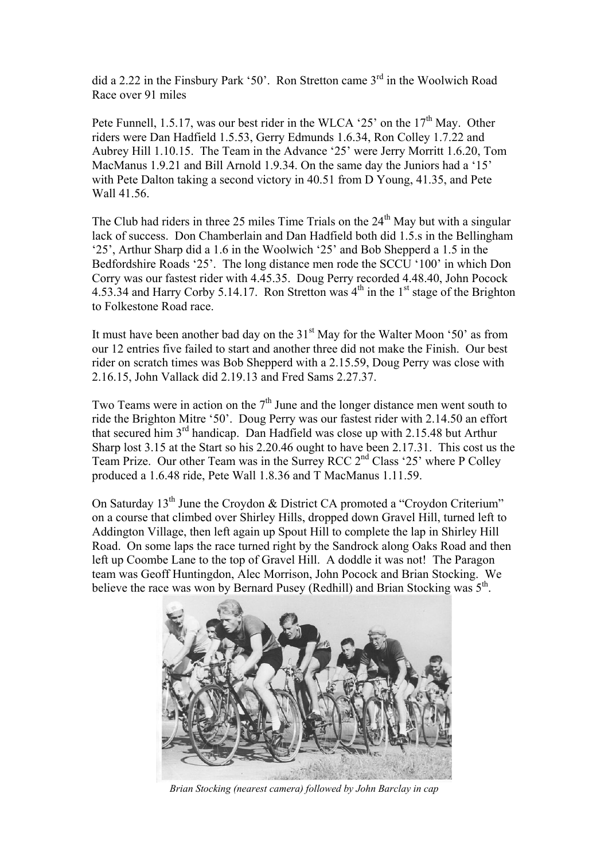did a 2.22 in the Finsbury Park '50'. Ron Stretton came  $3<sup>rd</sup>$  in the Woolwich Road Race over 91 miles

Pete Funnell, 1.5.17, was our best rider in the WLCA '25' on the  $17<sup>th</sup>$  May. Other riders were Dan Hadfield 1.5.53, Gerry Edmunds 1.6.34, Ron Colley 1.7.22 and Aubrey Hill 1.10.15. The Team in the Advance '25' were Jerry Morritt 1.6.20, Tom MacManus 1.9.21 and Bill Arnold 1.9.34. On the same day the Juniors had a '15' with Pete Dalton taking a second victory in 40.51 from D Young, 41.35, and Pete Wall 41.56.

The Club had riders in three 25 miles Time Trials on the  $24<sup>th</sup>$  May but with a singular lack of success. Don Chamberlain and Dan Hadfield both did 1.5.s in the Bellingham '25', Arthur Sharp did a 1.6 in the Woolwich '25' and Bob Shepperd a 1.5 in the Bedfordshire Roads '25'. The long distance men rode the SCCU '100' in which Don Corry was our fastest rider with 4.45.35. Doug Perry recorded 4.48.40, John Pocock 4.53.34 and Harry Corby 5.14.17. Ron Stretton was  $4<sup>th</sup>$  in the 1<sup>st</sup> stage of the Brighton to Folkestone Road race.

It must have been another bad day on the  $31<sup>st</sup>$  May for the Walter Moon '50' as from our 12 entries five failed to start and another three did not make the Finish. Our best rider on scratch times was Bob Shepperd with a 2.15.59, Doug Perry was close with 2.16.15, John Vallack did 2.19.13 and Fred Sams 2.27.37.

Two Teams were in action on the  $7<sup>th</sup>$  June and the longer distance men went south to ride the Brighton Mitre '50'. Doug Perry was our fastest rider with 2.14.50 an effort that secured him 3<sup>rd</sup> handicap. Dan Hadfield was close up with 2.15.48 but Arthur Sharp lost 3.15 at the Start so his 2.20.46 ought to have been 2.17.31. This cost us the Team Prize. Our other Team was in the Surrey RCC 2nd Class '25' where P Colley produced a 1.6.48 ride, Pete Wall 1.8.36 and T MacManus 1.11.59.

On Saturday  $13<sup>th</sup>$  June the Croydon & District CA promoted a "Croydon Criterium" on a course that climbed over Shirley Hills, dropped down Gravel Hill, turned left to Addington Village, then left again up Spout Hill to complete the lap in Shirley Hill Road. On some laps the race turned right by the Sandrock along Oaks Road and then left up Coombe Lane to the top of Gravel Hill. A doddle it was not! The Paragon team was Geoff Huntingdon, Alec Morrison, John Pocock and Brian Stocking. We believe the race was won by Bernard Pusey (Redhill) and Brian Stocking was  $5<sup>th</sup>$ .



*Brian Stocking (nearest camera) followed by John Barclay in cap*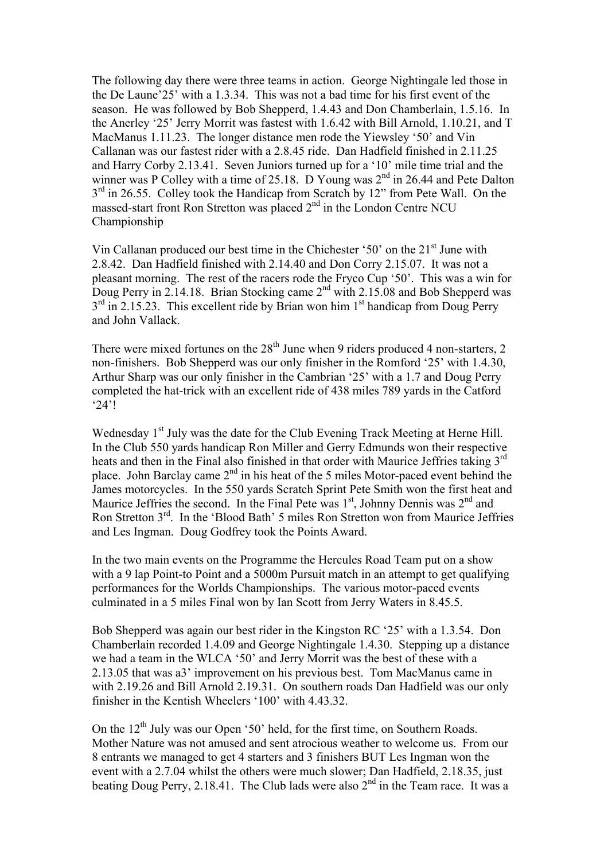The following day there were three teams in action. George Nightingale led those in the De Laune'25' with a 1.3.34. This was not a bad time for his first event of the season. He was followed by Bob Shepperd, 1.4.43 and Don Chamberlain, 1.5.16. In the Anerley '25' Jerry Morrit was fastest with 1.6.42 with Bill Arnold, 1.10.21, and T MacManus 1.11.23. The longer distance men rode the Yiewsley '50' and Vin Callanan was our fastest rider with a 2.8.45 ride. Dan Hadfield finished in 2.11.25 and Harry Corby 2.13.41. Seven Juniors turned up for a '10' mile time trial and the winner was P Colley with a time of 25.18. D Young was  $2<sup>nd</sup>$  in 26.44 and Pete Dalton  $3<sup>rd</sup>$  in 26.55. Colley took the Handicap from Scratch by 12" from Pete Wall. On the massed-start front Ron Stretton was placed 2<sup>nd</sup> in the London Centre NCU Championship

Vin Callanan produced our best time in the Chichester '50' on the 21<sup>st</sup> June with 2.8.42. Dan Hadfield finished with 2.14.40 and Don Corry 2.15.07. It was not a pleasant morning. The rest of the racers rode the Fryco Cup '50'. This was a win for Doug Perry in 2.14.18. Brian Stocking came  $2<sup>nd</sup>$  with 2.15.08 and Bob Shepperd was  $3<sup>rd</sup>$  in 2.15.23. This excellent ride by Brian won him  $1<sup>st</sup>$  handicap from Doug Perry and John Vallack.

There were mixed fortunes on the  $28<sup>th</sup>$  June when 9 riders produced 4 non-starters, 2 non-finishers. Bob Shepperd was our only finisher in the Romford '25' with 1.4.30, Arthur Sharp was our only finisher in the Cambrian '25' with a 1.7 and Doug Perry completed the hat-trick with an excellent ride of 438 miles 789 yards in the Catford '24'!

Wednesday 1<sup>st</sup> July was the date for the Club Evening Track Meeting at Herne Hill. In the Club 550 yards handicap Ron Miller and Gerry Edmunds won their respective heats and then in the Final also finished in that order with Maurice Jeffries taking 3<sup>rd</sup> place. John Barclay came  $2<sup>nd</sup>$  in his heat of the 5 miles Motor-paced event behind the James motorcycles. In the 550 yards Scratch Sprint Pete Smith won the first heat and Maurice Jeffries the second. In the Final Pete was  $1<sup>st</sup>$ , Johnny Dennis was  $2<sup>nd</sup>$  and Ron Stretton 3rd. In the 'Blood Bath' 5 miles Ron Stretton won from Maurice Jeffries and Les Ingman. Doug Godfrey took the Points Award.

In the two main events on the Programme the Hercules Road Team put on a show with a 9 lap Point-to Point and a 5000m Pursuit match in an attempt to get qualifying performances for the Worlds Championships. The various motor-paced events culminated in a 5 miles Final won by Ian Scott from Jerry Waters in 8.45.5.

Bob Shepperd was again our best rider in the Kingston RC '25' with a 1.3.54. Don Chamberlain recorded 1.4.09 and George Nightingale 1.4.30. Stepping up a distance we had a team in the WLCA '50' and Jerry Morrit was the best of these with a 2.13.05 that was a3' improvement on his previous best. Tom MacManus came in with 2.19.26 and Bill Arnold 2.19.31. On southern roads Dan Hadfield was our only finisher in the Kentish Wheelers '100' with 4.43.32.

On the  $12<sup>th</sup>$  July was our Open '50' held, for the first time, on Southern Roads. Mother Nature was not amused and sent atrocious weather to welcome us. From our 8 entrants we managed to get 4 starters and 3 finishers BUT Les Ingman won the event with a 2.7.04 whilst the others were much slower; Dan Hadfield, 2.18.35, just beating Doug Perry, 2.18.41. The Club lads were also  $2<sup>nd</sup>$  in the Team race. It was a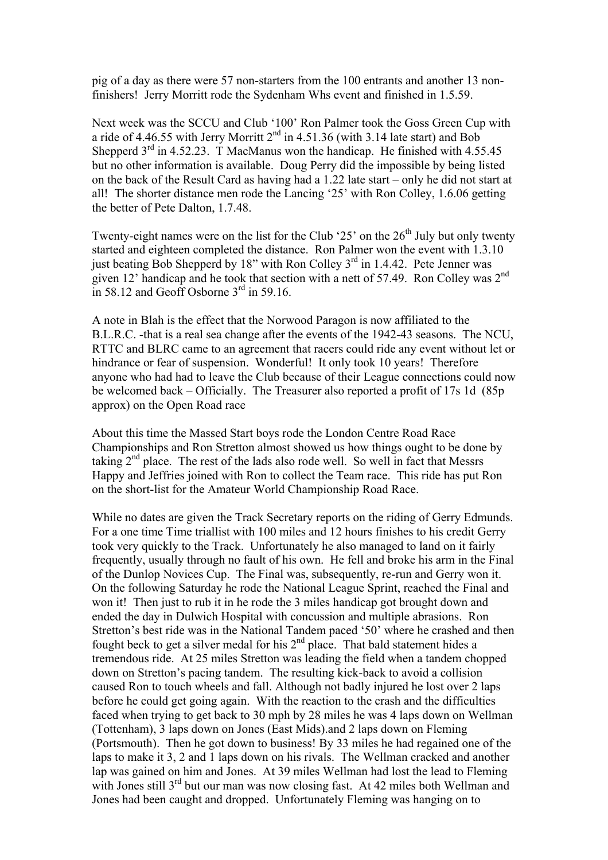pig of a day as there were 57 non-starters from the 100 entrants and another 13 nonfinishers! Jerry Morritt rode the Sydenham Whs event and finished in 1.5.59.

Next week was the SCCU and Club '100' Ron Palmer took the Goss Green Cup with a ride of 4.46.55 with Jerry Morritt  $2<sup>nd</sup>$  in 4.51.36 (with 3.14 late start) and Bob Shepperd  $3^{rd}$  in 4.52.23. T MacManus won the handicap. He finished with 4.55.45 but no other information is available. Doug Perry did the impossible by being listed on the back of the Result Card as having had a 1.22 late start – only he did not start at all! The shorter distance men rode the Lancing '25' with Ron Colley, 1.6.06 getting the better of Pete Dalton, 1.7.48.

Twenty-eight names were on the list for the Club '25' on the  $26<sup>th</sup>$  July but only twenty started and eighteen completed the distance. Ron Palmer won the event with 1.3.10 just beating Bob Shepperd by 18" with Ron Colley 3<sup>rd</sup> in 1.4.42. Pete Jenner was given 12' handicap and he took that section with a nett of 57.49. Ron Colley was 2<sup>nd</sup> in 58.12 and Geoff Osborne  $3<sup>rd</sup>$  in 59.16.

A note in Blah is the effect that the Norwood Paragon is now affiliated to the B.L.R.C. -that is a real sea change after the events of the 1942-43 seasons. The NCU, RTTC and BLRC came to an agreement that racers could ride any event without let or hindrance or fear of suspension. Wonderful! It only took 10 years! Therefore anyone who had had to leave the Club because of their League connections could now be welcomed back – Officially. The Treasurer also reported a profit of 17s 1d (85p approx) on the Open Road race

About this time the Massed Start boys rode the London Centre Road Race Championships and Ron Stretton almost showed us how things ought to be done by taking  $2<sup>nd</sup>$  place. The rest of the lads also rode well. So well in fact that Messrs Happy and Jeffries joined with Ron to collect the Team race. This ride has put Ron on the short-list for the Amateur World Championship Road Race.

While no dates are given the Track Secretary reports on the riding of Gerry Edmunds. For a one time Time triallist with 100 miles and 12 hours finishes to his credit Gerry took very quickly to the Track. Unfortunately he also managed to land on it fairly frequently, usually through no fault of his own. He fell and broke his arm in the Final of the Dunlop Novices Cup. The Final was, subsequently, re-run and Gerry won it. On the following Saturday he rode the National League Sprint, reached the Final and won it! Then just to rub it in he rode the 3 miles handicap got brought down and ended the day in Dulwich Hospital with concussion and multiple abrasions. Ron Stretton's best ride was in the National Tandem paced '50' where he crashed and then fought beck to get a silver medal for his  $2<sup>nd</sup>$  place. That bald statement hides a tremendous ride. At 25 miles Stretton was leading the field when a tandem chopped down on Stretton's pacing tandem. The resulting kick-back to avoid a collision caused Ron to touch wheels and fall. Although not badly injured he lost over 2 laps before he could get going again. With the reaction to the crash and the difficulties faced when trying to get back to 30 mph by 28 miles he was 4 laps down on Wellman (Tottenham), 3 laps down on Jones (East Mids).and 2 laps down on Fleming (Portsmouth). Then he got down to business! By 33 miles he had regained one of the laps to make it 3, 2 and 1 laps down on his rivals. The Wellman cracked and another lap was gained on him and Jones. At 39 miles Wellman had lost the lead to Fleming with Jones still 3<sup>rd</sup> but our man was now closing fast. At 42 miles both Wellman and Jones had been caught and dropped. Unfortunately Fleming was hanging on to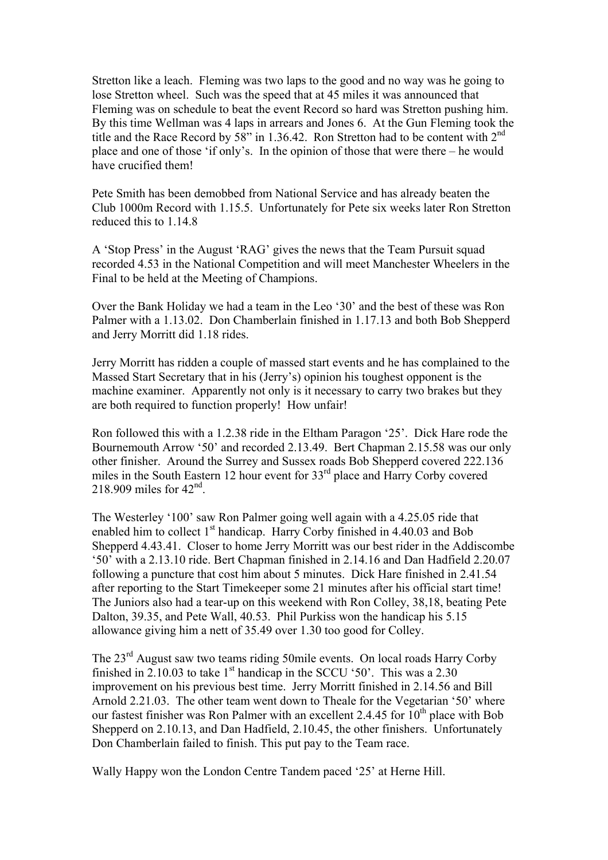Stretton like a leach. Fleming was two laps to the good and no way was he going to lose Stretton wheel. Such was the speed that at 45 miles it was announced that Fleming was on schedule to beat the event Record so hard was Stretton pushing him. By this time Wellman was 4 laps in arrears and Jones 6. At the Gun Fleming took the title and the Race Record by 58" in 1.36.42. Ron Stretton had to be content with  $2<sup>nd</sup>$ place and one of those 'if only's. In the opinion of those that were there – he would have crucified them!

Pete Smith has been demobbed from National Service and has already beaten the Club 1000m Record with 1.15.5. Unfortunately for Pete six weeks later Ron Stretton reduced this to 1.14.8

A 'Stop Press' in the August 'RAG' gives the news that the Team Pursuit squad recorded 4.53 in the National Competition and will meet Manchester Wheelers in the Final to be held at the Meeting of Champions.

Over the Bank Holiday we had a team in the Leo '30' and the best of these was Ron Palmer with a 1.13.02. Don Chamberlain finished in 1.17.13 and both Bob Shepperd and Jerry Morritt did 1.18 rides.

Jerry Morritt has ridden a couple of massed start events and he has complained to the Massed Start Secretary that in his (Jerry's) opinion his toughest opponent is the machine examiner. Apparently not only is it necessary to carry two brakes but they are both required to function properly! How unfair!

Ron followed this with a 1.2.38 ride in the Eltham Paragon '25'. Dick Hare rode the Bournemouth Arrow '50' and recorded 2.13.49. Bert Chapman 2.15.58 was our only other finisher. Around the Surrey and Sussex roads Bob Shepperd covered 222.136 miles in the South Eastern 12 hour event for 33<sup>rd</sup> place and Harry Corby covered 218.909 miles for  $42<sup>nd</sup>$ .

The Westerley '100' saw Ron Palmer going well again with a 4.25.05 ride that enabled him to collect  $1<sup>st</sup>$  handicap. Harry Corby finished in 4.40.03 and Bob Shepperd 4.43.41. Closer to home Jerry Morritt was our best rider in the Addiscombe '50' with a 2.13.10 ride. Bert Chapman finished in 2.14.16 and Dan Hadfield 2.20.07 following a puncture that cost him about 5 minutes. Dick Hare finished in 2.41.54 after reporting to the Start Timekeeper some 21 minutes after his official start time! The Juniors also had a tear-up on this weekend with Ron Colley, 38,18, beating Pete Dalton, 39.35, and Pete Wall, 40.53. Phil Purkiss won the handicap his 5.15 allowance giving him a nett of 35.49 over 1.30 too good for Colley.

The 23<sup>rd</sup> August saw two teams riding 50mile events. On local roads Harry Corby finished in  $2.10.03$  to take  $1<sup>st</sup>$  handicap in the SCCU '50'. This was a  $2.30$ improvement on his previous best time. Jerry Morritt finished in 2.14.56 and Bill Arnold 2.21.03. The other team went down to Theale for the Vegetarian '50' where our fastest finisher was Ron Palmer with an excellent 2.4.45 for  $10^{th}$  place with Bob Shepperd on 2.10.13, and Dan Hadfield, 2.10.45, the other finishers. Unfortunately Don Chamberlain failed to finish. This put pay to the Team race.

Wally Happy won the London Centre Tandem paced '25' at Herne Hill.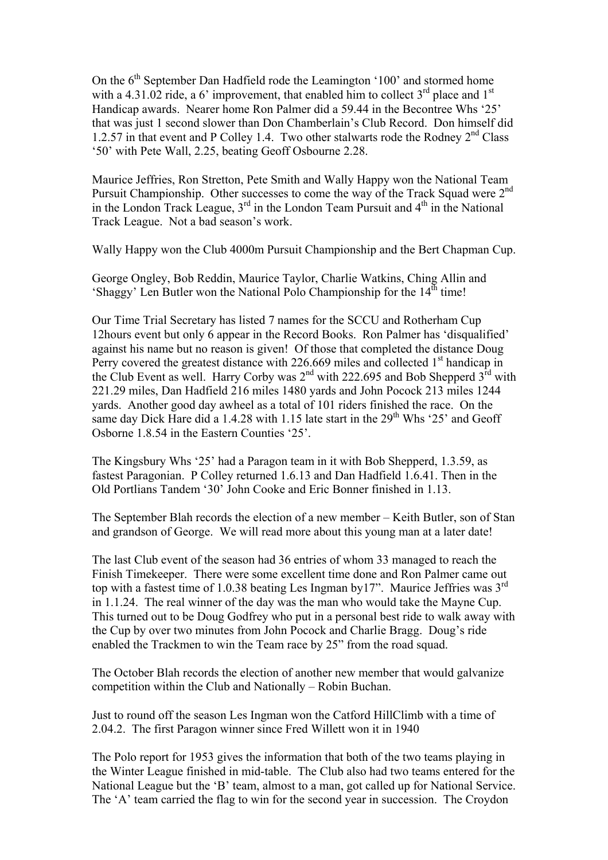On the  $6<sup>th</sup>$  September Dan Hadfield rode the Leamington '100' and stormed home with a 4.31.02 ride, a 6' improvement, that enabled him to collect  $3<sup>rd</sup>$  place and  $1<sup>st</sup>$ Handicap awards. Nearer home Ron Palmer did a 59.44 in the Becontree Whs '25' that was just 1 second slower than Don Chamberlain's Club Record. Don himself did 1.2.57 in that event and P Colley 1.4. Two other stalwarts rode the Rodney  $2<sup>nd</sup>$  Class '50' with Pete Wall, 2.25, beating Geoff Osbourne 2.28.

Maurice Jeffries, Ron Stretton, Pete Smith and Wally Happy won the National Team Pursuit Championship. Other successes to come the way of the Track Squad were  $2<sup>nd</sup>$ in the London Track League,  $3<sup>rd</sup>$  in the London Team Pursuit and  $4<sup>th</sup>$  in the National Track League. Not a bad season's work.

Wally Happy won the Club 4000m Pursuit Championship and the Bert Chapman Cup.

George Ongley, Bob Reddin, Maurice Taylor, Charlie Watkins, Ching Allin and 'Shaggy' Len Butler won the National Polo Championship for the  $14<sup>th</sup>$  time!

Our Time Trial Secretary has listed 7 names for the SCCU and Rotherham Cup 12hours event but only 6 appear in the Record Books. Ron Palmer has 'disqualified' against his name but no reason is given! Of those that completed the distance Doug Perry covered the greatest distance with  $226.669$  miles and collected  $1<sup>st</sup>$  handicap in the Club Event as well. Harry Corby was  $2<sup>nd</sup>$  with 222.695 and Bob Shepperd  $3<sup>rd</sup>$  with 221.29 miles, Dan Hadfield 216 miles 1480 yards and John Pocock 213 miles 1244 yards. Another good day awheel as a total of 101 riders finished the race. On the same day Dick Hare did a 1.4.28 with 1.15 late start in the  $29<sup>th</sup>$  Whs '25' and Geoff Osborne 1.8.54 in the Eastern Counties '25'.

The Kingsbury Whs '25' had a Paragon team in it with Bob Shepperd, 1.3.59, as fastest Paragonian. P Colley returned 1.6.13 and Dan Hadfield 1.6.41. Then in the Old Portlians Tandem '30' John Cooke and Eric Bonner finished in 1.13.

The September Blah records the election of a new member – Keith Butler, son of Stan and grandson of George. We will read more about this young man at a later date!

The last Club event of the season had 36 entries of whom 33 managed to reach the Finish Timekeeper. There were some excellent time done and Ron Palmer came out top with a fastest time of 1.0.38 beating Les Ingman by17". Maurice Jeffries was 3<sup>rd</sup> in 1.1.24. The real winner of the day was the man who would take the Mayne Cup. This turned out to be Doug Godfrey who put in a personal best ride to walk away with the Cup by over two minutes from John Pocock and Charlie Bragg. Doug's ride enabled the Trackmen to win the Team race by 25" from the road squad.

The October Blah records the election of another new member that would galvanize competition within the Club and Nationally – Robin Buchan.

Just to round off the season Les Ingman won the Catford HillClimb with a time of 2.04.2. The first Paragon winner since Fred Willett won it in 1940

The Polo report for 1953 gives the information that both of the two teams playing in the Winter League finished in mid-table. The Club also had two teams entered for the National League but the 'B' team, almost to a man, got called up for National Service. The 'A' team carried the flag to win for the second year in succession. The Croydon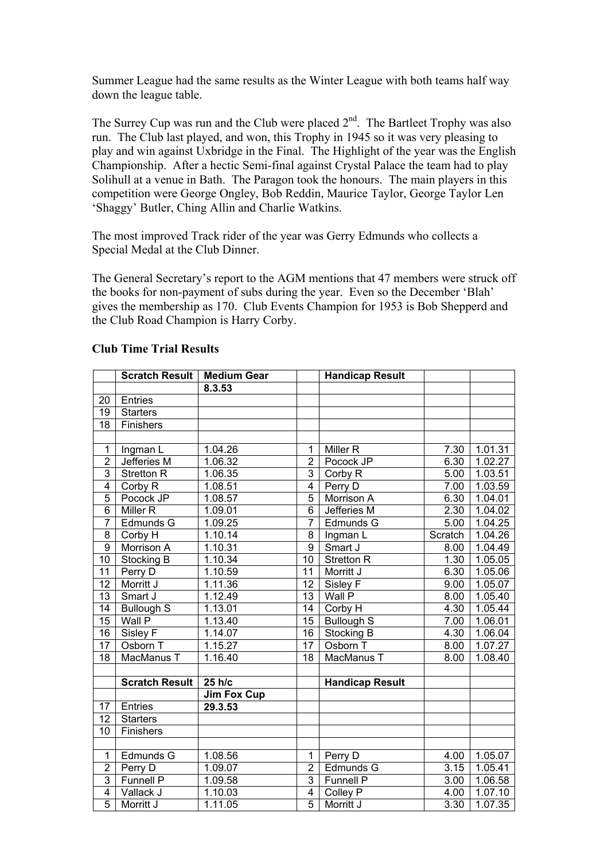Summer League had the same results as the Winter League with both teams half way down the league table.

The Surrey Cup was run and the Club were placed  $2<sup>nd</sup>$ . The Bartleet Trophy was also run. The Club last played, and won, this Trophy in 1945 so it was very pleasing to play and win against Uxbridge in the Final. The Highlight of the year was the English Championship. After a hectic Semi-final against Crystal Palace the team had to play Solihull at a venue in Bath. The Paragon took the honours. The main players in this competition were George Ongley, Bob Reddin, Maurice Taylor, George Taylor Len 'Shaggy' Butler, Ching Allin and Charlie Watkins.

The most improved Track rider of the year was Gerry Edmunds who collects a Special Medal at the Club Dinner.

The General Secretary's report to the AGM mentions that 47 members were struck off the books for non-payment of subs during the year. Even so the December 'Blah' gives the membership as 170. Club Events Champion for 1953 is Bob Shepperd and the Club Road Champion is Harry Corby.

|                 | <b>Scratch Result</b> | <b>Medium Gear</b>   |                 | <b>Handicap Result</b> |         |         |
|-----------------|-----------------------|----------------------|-----------------|------------------------|---------|---------|
|                 |                       | 8.3.53               |                 |                        |         |         |
| 20              | Entries               |                      |                 |                        |         |         |
| $\overline{19}$ | <b>Starters</b>       |                      |                 |                        |         |         |
| $\overline{18}$ | Finishers             |                      |                 |                        |         |         |
|                 |                       |                      |                 |                        |         |         |
| $\overline{1}$  | Ingman L              | 1.04.26              | 1               | Miller <sub>R</sub>    | 7.30    | 1.01.31 |
| $\overline{2}$  | <b>Jefferies M</b>    | 1.06.32              | $\overline{2}$  | Pocock JP              | 6.30    | 1.02.27 |
| $\overline{3}$  | <b>Stretton R</b>     | $1.\overline{06.35}$ | $\overline{3}$  | Corby <sub>R</sub>     | 5.00    | 1.03.51 |
| $\overline{4}$  | Corby R               | 1.08.51              | $\overline{4}$  | Perry D                | 7.00    | 1.03.59 |
| $\overline{5}$  | Pocock JP             | $1.\overline{08.57}$ | $\overline{5}$  | Morrison A             | 6.30    | 1.04.01 |
| $\overline{6}$  | Miller <sub>R</sub>   | 1.09.01              | $\overline{6}$  | Jefferies M            | 2.30    | 1.04.02 |
| $\overline{7}$  | Edmunds G             | 1.09.25              | 7               | Edmunds G              | 5.00    | 1.04.25 |
| 8               | Corby H               | 1.10.14              | 8               | Ingman L               | Scratch | 1.04.26 |
| $\overline{9}$  | Morrison A            | 1.10.31              | $\overline{9}$  | Smart J                | 8.00    | 1.04.49 |
| 10              | Stocking B            | 1.10.34              | 10              | <b>Stretton R</b>      | 1.30    | 1.05.05 |
| 11              | Perry D               | 1.10.59              | 11              | Morritt J              | 6.30    | 1.05.06 |
| $\overline{12}$ | Morritt J             | 1.11.36              | 12              | Sisley F               | 9.00    | 1.05.07 |
| $\overline{13}$ | Smart J               | 1.12.49              | $\overline{13}$ | Wall P                 | 8.00    | 1.05.40 |
| $\overline{14}$ | <b>Bullough S</b>     | 1.13.01              | $\overline{14}$ | Corby H                | 4.30    | 1.05.44 |
| $\overline{15}$ | Wall P                | 1.13.40              | $\overline{15}$ | <b>Bullough S</b>      | 7.00    | 1.06.01 |
| 16              | Sisley F              | 1.14.07              | $\overline{16}$ | Stocking B             | 4.30    | 1.06.04 |
| $\overline{17}$ | Osborn T              | 1.15.27              | $\overline{17}$ | Osborn T               | 8.00    | 1.07.27 |
| $\overline{18}$ | MacManus T            | 1.16.40              | $\overline{18}$ | MacManus T             | 8.00    | 1.08.40 |
|                 |                       |                      |                 |                        |         |         |
|                 | <b>Scratch Result</b> | 25 h/c               |                 | <b>Handicap Result</b> |         |         |
|                 |                       | <b>Jim Fox Cup</b>   |                 |                        |         |         |
| 17              | Entries               | 29.3.53              |                 |                        |         |         |
| $\overline{12}$ | <b>Starters</b>       |                      |                 |                        |         |         |
| $\overline{10}$ | Finishers             |                      |                 |                        |         |         |
|                 |                       |                      |                 |                        |         |         |
| $\mathbf 1$     | Edmunds G             | 1.08.56              | 1               | Perry D                | 4.00    | 1.05.07 |
| $\overline{2}$  | Perry D               | 1.09.07              | $\overline{2}$  | Edmunds G              | 3.15    | 1.05.41 |
| $\overline{3}$  | Funnell P             | 1.09.58              | $\overline{3}$  | Funnell P              | 3.00    | 1.06.58 |
| $\overline{4}$  | Vallack J             | 1.10.03              | $\overline{4}$  | Colley P               | 4.00    | 1.07.10 |
| $\overline{5}$  | Morritt J             | 1.11.05              | $\overline{5}$  | Morritt J              | 3.30    | 1.07.35 |

## **Club Time Trial Results**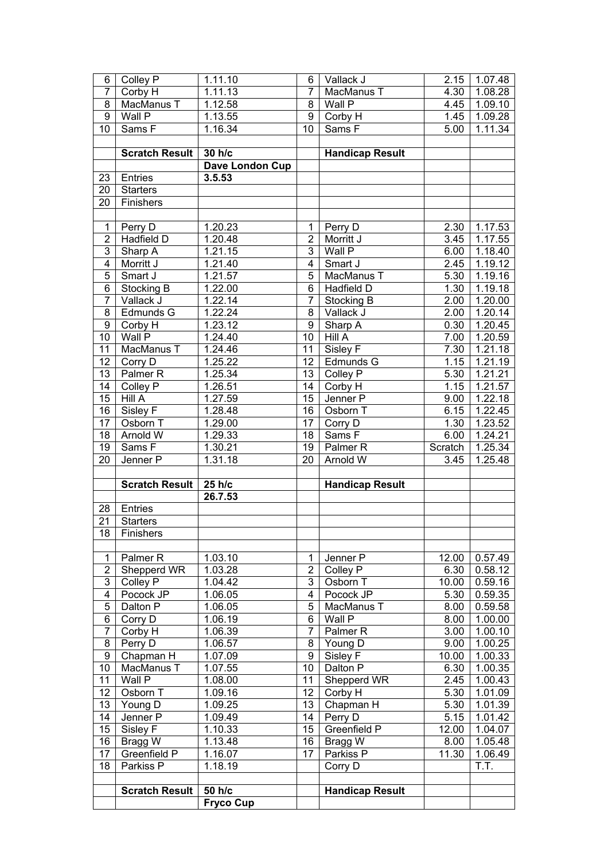|                | Colley P              | 1.11.10          | 6              | Vallack J              | 2.15    | 1.07.48              |
|----------------|-----------------------|------------------|----------------|------------------------|---------|----------------------|
| $\overline{7}$ | Corby $H$             | 1.11.13          | $\overline{7}$ | MacManus T             | 4.30    | 1.08.28              |
| 8              | MacManus T            | 1.12.58          | 8              | Wall P                 | 4.45    | 1.09.10              |
| 9              | Wall P                | 1.13.55          | 9              | Corby H                | 1.45    | 1.09.28              |
| 10             | Sams F                | 1.16.34          | 10             | Sams F                 | 5.00    | 1.11.34              |
|                |                       |                  |                |                        |         |                      |
|                | Scratch Result        | 30 h/c           |                | <b>Handicap Result</b> |         |                      |
|                |                       | Dave London Cup  |                |                        |         |                      |
| 23             | Entries               | 3.5.53           |                |                        |         |                      |
| 20             | <b>Starters</b>       |                  |                |                        |         |                      |
| 20             | Finishers             |                  |                |                        |         |                      |
|                |                       |                  |                |                        |         |                      |
| $\mathbf{1}$   | Perry D               | 1.20.23          | 1              | Perry D                | 2.30    | 1.17.53              |
| $\overline{2}$ | <b>Hadfield D</b>     | 1.20.48          | $\overline{2}$ | Morritt J              | 3.45    | 1.17.55              |
| $\overline{3}$ | Sharp A               | 1.21.15          | 3              | Wall P                 | 6.00    | 1.18.40              |
| $\overline{4}$ | Morritt J             | 1.21.40          | 4              | Smart J                | 2.45    | 1.19.12              |
| $\overline{5}$ | Smart J               | 1.21.57          | $\overline{5}$ | MacManus T             | 5.30    | 1.19.16              |
| 6              | Stocking B            | 1.22.00          | 6              | Hadfield D             | 1.30    | 1.19.18              |
| $\overline{7}$ | Vallack J             | 1.22.14          | $\overline{7}$ | Stocking B             | 2.00    | 1.20.00              |
| 8              | Edmunds G             | 1.22.24          | 8              | Vallack J              | 2.00    | 1.20.14              |
| 9              | Corby H               | 1.23.12          | 9              | Sharp A                | 0.30    | 1.20.45              |
| 10             | Wall P                | 1.24.40          | 10             | Hill A                 | 7.00    | 1.20.59              |
|                |                       |                  |                |                        |         |                      |
| 11             | MacManus T            | 1.24.46          | 11             | Sisley F               | 7.30    | 1.21.18              |
| 12             | Corry D               | 1.25.22          | 12             | Edmunds G              | 1.15    | 1.21.19              |
| 13             | Palmer <sub>R</sub>   | 1.25.34          | 13             | Colley P               | 5.30    | $1.\overline{21.21}$ |
| 14             | Colley P              | 1.26.51          | 14             | Corby $H$              | 1.15    | 1.21.57              |
| 15             | Hill A                | 1.27.59          | 15             | Jenner P               | 9.00    | 1.22.18              |
| 16             | Sisley F              | 1.28.48          | 16             | Osborn T               | 6.15    | 1.22.45              |
| 17             | Osborn T              | 1.29.00          | 17             | Corry D                | 1.30    | 1.23.52              |
| 18             | Arnold W              | 1.29.33          | 18             | Sams $F$               | 6.00    | 1.24.21              |
| 19             | Sams $F$              | 1.30.21          | 19             | Palmer <sub>R</sub>    | Scratch | 1.25.34              |
| 20             | Jenner P              | 1.31.18          | 20             | Arnold W               | 3.45    | 1.25.48              |
|                |                       |                  |                |                        |         |                      |
|                |                       |                  |                |                        |         |                      |
|                | <b>Scratch Result</b> | 25 h/c           |                | <b>Handicap Result</b> |         |                      |
|                |                       | 26.7.53          |                |                        |         |                      |
| 28             | Entries               |                  |                |                        |         |                      |
| 21             | <b>Starters</b>       |                  |                |                        |         |                      |
|                | 18 Finishers          |                  |                |                        |         |                      |
|                |                       |                  |                |                        |         |                      |
| 1              | Palmer <sub>R</sub>   | 1.03.10          | $\mathbf 1$    | Jenner P               | 12.00   | 0.57.49              |
| $\overline{2}$ | Shepperd WR           | 1.03.28          | $\overline{2}$ | Colley P               | 6.30    | 0.58.12              |
| $\overline{3}$ | Colley P              | 1.04.42          | 3              | Osborn T               | 10.00   | 0.59.16              |
| 4              | Pocock JP             | 1.06.05          | 4              | Pocock JP              | 5.30    | 0.59.35              |
| 5              | Dalton P              | 1.06.05          | 5              | MacManus T             | 8.00    | 0.59.58              |
| 6              | Corry D               | 1.06.19          | 6              | Wall P                 | 8.00    | 1.00.00              |
| $\overline{7}$ | Corby H               | 1.06.39          | $\overline{7}$ | Palmer <sub>R</sub>    | 3.00    | 1.00.10              |
| 8              | Perry D               | 1.06.57          | 8              | Young D                | 9.00    | 1.00.25              |
| 9              | Chapman H             | 1.07.09          | 9              | Sisley F               | 10.00   | 1.00.33              |
| 10             | MacManus T            | 1.07.55          | 10             | Dalton P               | 6.30    | 1.00.35              |
| 11             | Wall P                | 1.08.00          | 11             | Shepperd WR            | 2.45    | 1.00.43              |
| 12             | Osborn T              | 1.09.16          | 12             | Corby H                | 5.30    | 1.01.09              |
| 13             | Young D               | 1.09.25          | 13             | Chapman H              | 5.30    | 1.01.39              |
| 14             | Jenner <sub>P</sub>   | 1.09.49          | 14             | Perry D                | 5.15    | 1.01.42              |
| 15             | Sisley F              | 1.10.33          | 15             | Greenfield P           | 12.00   | 1.04.07              |
| 16             | Bragg W               | 1.13.48          | 16             | Bragg W                | 8.00    | 1.05.48              |
| 17             | Greenfield P          | 1.16.07          | 17             | Parkiss P              | 11.30   | 1.06.49              |
| 18             | Parkiss P             | 1.18.19          |                | Corry D                |         | T.T.                 |
|                |                       |                  |                |                        |         |                      |
|                | <b>Scratch Result</b> | 50 h/c           |                | <b>Handicap Result</b> |         |                      |
|                |                       | <b>Fryco Cup</b> |                |                        |         |                      |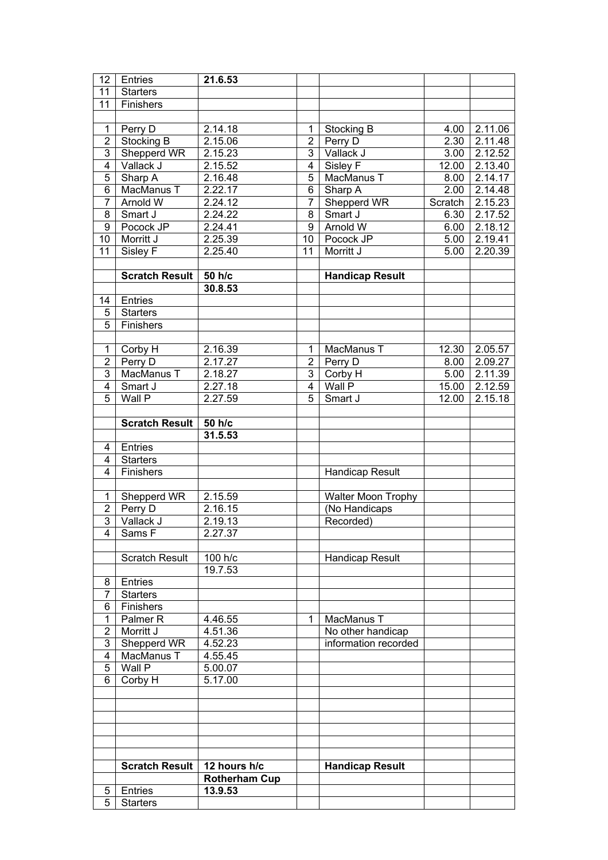| 12                      | Entries                    | 21.6.53              |                |                           |         |         |
|-------------------------|----------------------------|----------------------|----------------|---------------------------|---------|---------|
| 11                      | <b>Starters</b>            |                      |                |                           |         |         |
| 11                      | Finishers                  |                      |                |                           |         |         |
|                         |                            |                      |                |                           |         |         |
| $\mathbf{1}$            | Perry D                    | 2.14.18              | 1              | Stocking B                | 4.00    | 2.11.06 |
| $\overline{2}$          | Stocking B                 | 2.15.06              | $\overline{2}$ | Perry D                   | 2.30    | 2.11.48 |
| $\overline{3}$          | Shepperd WR                | 2.15.23              | 3              | Vallack J                 | 3.00    | 2.12.52 |
| $\overline{4}$          | Vallack J                  | $2.\overline{15.52}$ | $\overline{4}$ | Sisley F                  | 12.00   | 2.13.40 |
| $\overline{5}$          | Sharp A                    | 2.16.48              | $\overline{5}$ | MacManus T                | 8.00    | 2.14.17 |
| $\overline{6}$          | MacManus T                 | $2.\overline{22.17}$ | $\overline{6}$ | Sharp A                   | 2.00    | 2.14.48 |
| $\overline{7}$          | Arnold W                   | 2.24.12              | $\overline{7}$ | Shepperd WR               | Scratch | 2.15.23 |
| $\overline{8}$          | Smart J                    | $2.\overline{24.22}$ | $\overline{8}$ | Smart J                   | 6.30    | 2.17.52 |
| $\overline{9}$          | Pocock JP                  | $2.\overline{24.41}$ | $\overline{9}$ | Arnold W                  | 6.00    | 2.18.12 |
| $\overline{10}$         | Morritt J                  | $2.\overline{25.39}$ | 10             | Pocock JP                 | 5.00    | 2.19.41 |
| $\overline{11}$         | Sisley F                   | 2.25.40              | 11             | Morritt J                 | 5.00    | 2.20.39 |
|                         |                            |                      |                |                           |         |         |
|                         |                            |                      |                |                           |         |         |
|                         | <b>Scratch Result</b>      | 50 h/c               |                | <b>Handicap Result</b>    |         |         |
|                         |                            | 30.8.53              |                |                           |         |         |
| 14                      | Entries                    |                      |                |                           |         |         |
| 5                       | <b>Starters</b>            |                      |                |                           |         |         |
| $\overline{5}$          | Finishers                  |                      |                |                           |         |         |
|                         |                            |                      |                |                           |         |         |
| $\mathbf{1}$            | Corby H                    | 2.16.39              | 1              | MacManus T                | 12.30   | 2.05.57 |
| $\overline{2}$          | Perry D                    | 2.17.27              | $\overline{2}$ | Perry D                   | 8.00    | 2.09.27 |
| $\overline{3}$          | MacManus T                 | $2.\overline{18.27}$ | $\overline{3}$ | Corby H                   | 5.00    | 2.11.39 |
| $\overline{4}$          | Smart J                    | 2.27.18              | $\overline{4}$ | Wall P                    | 15.00   | 2.12.59 |
| $\overline{5}$          | Wall P                     | 2.27.59              | $\overline{5}$ | Smart J                   | 12.00   | 2.15.18 |
|                         |                            |                      |                |                           |         |         |
|                         | <b>Scratch Result</b>      | 50 h/c               |                |                           |         |         |
|                         |                            | 31.5.53              |                |                           |         |         |
| 4                       | Entries                    |                      |                |                           |         |         |
| $\overline{4}$          | <b>Starters</b>            |                      |                |                           |         |         |
| $\overline{4}$          | Finishers                  |                      |                | <b>Handicap Result</b>    |         |         |
|                         |                            |                      |                |                           |         |         |
| $\mathbf{1}$            | Shepperd WR                | 2.15.59              |                | <b>Walter Moon Trophy</b> |         |         |
| $\overline{2}$          | Perry D                    | 2.16.15              |                |                           |         |         |
| $\overline{3}$          |                            |                      |                |                           |         |         |
| $\overline{4}$          |                            |                      |                | (No Handicaps             |         |         |
|                         | Vallack J                  | 2.19.13              |                | Recorded)                 |         |         |
|                         | Sams F                     | 2.27.37              |                |                           |         |         |
|                         |                            |                      |                |                           |         |         |
|                         | <b>Scratch Result</b>      | 100 h/c              |                | Handicap Result           |         |         |
|                         |                            | 19.7.53              |                |                           |         |         |
| 8                       | Entries                    |                      |                |                           |         |         |
| $\overline{7}$          | <b>Starters</b>            |                      |                |                           |         |         |
| 6                       | Finishers                  |                      |                |                           |         |         |
| 1                       | Palmer <sub>R</sub>        | 4.46.55              | 1              | MacManus T                |         |         |
| $\mathbf 2$             | Morritt J                  | 4.51.36              |                | No other handicap         |         |         |
| 3                       | Shepperd WR                | 4.52.23              |                | information recorded      |         |         |
| $\overline{\mathbf{4}}$ | MacManus T                 | 4.55.45              |                |                           |         |         |
| 5                       | Wall P                     | 5.00.07              |                |                           |         |         |
| $\overline{6}$          | Corby H                    | 5.17.00              |                |                           |         |         |
|                         |                            |                      |                |                           |         |         |
|                         |                            |                      |                |                           |         |         |
|                         |                            |                      |                |                           |         |         |
|                         |                            |                      |                |                           |         |         |
|                         |                            |                      |                |                           |         |         |
|                         |                            |                      |                |                           |         |         |
|                         | <b>Scratch Result</b>      | 12 hours h/c         |                | <b>Handicap Result</b>    |         |         |
|                         |                            | <b>Rotherham Cup</b> |                |                           |         |         |
| 5<br>$\overline{5}$     | Entries<br><b>Starters</b> | 13.9.53              |                |                           |         |         |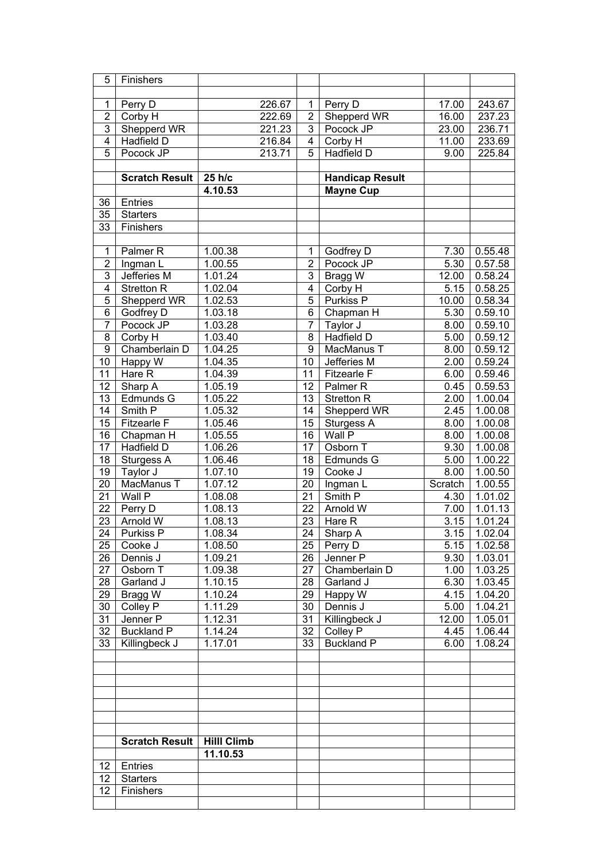| 5               | Finishers             |                      |        |                 |                        |         |                      |
|-----------------|-----------------------|----------------------|--------|-----------------|------------------------|---------|----------------------|
|                 |                       |                      |        |                 |                        |         |                      |
| 1               | Perry D               |                      | 226.67 | $\mathbf{1}$    | Perry D                | 17.00   | 243.67               |
| $\overline{2}$  | Corby H               |                      | 222.69 | $\overline{2}$  | Shepperd WR            | 16.00   | 237.23               |
| $\overline{3}$  | Shepperd WR           |                      | 221.23 | 3               | Pocock JP              | 23.00   | 236.71               |
| $\overline{4}$  | <b>Hadfield D</b>     |                      | 216.84 | $\overline{4}$  | Corby H                | 11.00   | 233.69               |
| $\overline{5}$  | Pocock JP             |                      | 213.71 | $\overline{5}$  | <b>Hadfield D</b>      | 9.00    | 225.84               |
|                 |                       |                      |        |                 |                        |         |                      |
|                 | <b>Scratch Result</b> | 25 h/c               |        |                 | <b>Handicap Result</b> |         |                      |
|                 |                       | 4.10.53              |        |                 | <b>Mayne Cup</b>       |         |                      |
| 36              | Entries               |                      |        |                 |                        |         |                      |
| 35              | <b>Starters</b>       |                      |        |                 |                        |         |                      |
|                 |                       |                      |        |                 |                        |         |                      |
| 33              | Finishers             |                      |        |                 |                        |         |                      |
|                 |                       |                      |        |                 |                        |         |                      |
| 1               | Palmer <sub>R</sub>   | 1.00.38              |        | 1               | Godfrey D              | 7.30    | 0.55.48              |
| $\overline{2}$  | Ingman L              | 1.00.55              |        | $\overline{2}$  | Pocock JP              | 5.30    | 0.57.58              |
| $\overline{3}$  | Jefferies M           | $1.\overline{01.24}$ |        | 3               | Bragg $\overline{W}$   | 12.00   | 0.58.24              |
| $\overline{4}$  | <b>Stretton R</b>     | 1.02.04              |        | $\overline{4}$  | Corby H                | 5.15    | 0.58.25              |
| $\overline{5}$  | Shepperd WR           | 1.02.53              |        | $\overline{5}$  | Purkiss P              | 10.00   | 0.58.34              |
| $\overline{6}$  | Godfrey D             | 1.03.18              |        | $\overline{6}$  | Chapman H              | 5.30    | 0.59.10              |
| $\overline{7}$  | Pocock JP             | 1.03.28              |        | 7               | Taylor J               | 8.00    | 0.59.10              |
| $\overline{8}$  | Corby H               | 1.03.40              |        | $\overline{8}$  | <b>Hadfield D</b>      | 5.00    | 0.59.12              |
| $\overline{9}$  | Chamberlain D         | 1.04.25              |        | 9               | MacManus T             | 8.00    | 0.59.12              |
| 10              | Happy $\overline{W}$  | 1.04.35              |        | 10              | Jefferies M            | 2.00    | $0.\overline{59.24}$ |
| 11              | Hare $R$              | 1.04.39              |        | 11              | Fitzearle F            | 6.00    | 0.59.46              |
| 12              | Sharp A               | 1.05.19              |        | 12              | Palmer <sub>R</sub>    | 0.45    | 0.59.53              |
| 13              | Edmunds G             | 1.05.22              |        | 13              | Stretton <sub>R</sub>  | 2.00    | 1.00.04              |
| 14              | Smith P               | 1.05.32              |        | 14              | Shepperd WR            | 2.45    | 1.00.08              |
| 15              | <b>Fitzearle F</b>    | 1.05.46              |        | 15              | Sturgess A             | 8.00    | 1.00.08              |
| 16              | Chapman H             | 1.05.55              |        | 16              | Wall P                 | 8.00    | 1.00.08              |
| 17              | Hadfield D            | 1.06.26              |        | 17              | Osborn T               | 9.30    | 1.00.08              |
| 18              | Sturgess A            | 1.06.46              |        | 18              | Edmunds G              | 5.00    | 1.00.22              |
| 19              | Taylor J              | 1.07.10              |        | 19              | Cooke J                | 8.00    | 1.00.50              |
| 20              | MacManus T            | 1.07.12              |        | 20              | Ingman L               | Scratch | 1.00.55              |
| 21              | Wall P                | 1.08.08              |        | 21              | Smith P                | 4.30    | 1.01.02              |
| 22              | Perry $\overline{D}$  | 1.08.13              |        | 22              | Arnold W               | 7.00    | 1.01.13              |
| $\overline{23}$ | Arnold W              | 1.08.13              |        | 23              | Hare R                 | 3.15    | 1.01.24              |
| $\overline{24}$ | <b>Purkiss P</b>      | 1.08.34              |        | $\overline{24}$ | Sharp A                | 3.15    | 1.02.04              |
| 25              | Cooke J               | 1.08.50              |        | 25              | Perry D                | 5.15    | 1.02.58              |
| 26              | Dennis J              | 1.09.21              |        | 26              | Jenner P               | 9.30    | 1.03.01              |
| 27              | Osborn T              | 1.09.38              |        | 27              | Chamberlain D          | 1.00    | 1.03.25              |
| 28              | Garland J             | 1.10.15              |        | 28              | Garland J              | 6.30    | 1.03.45              |
| 29              | Bragg W               | 1.10.24              |        | 29              | Happy W                | 4.15    | 1.04.20              |
| 30              | Colley P              | 1.11.29              |        | 30              | Dennis J               | 5.00    | 1.04.21              |
| 31              | Jenner P              | 1.12.31              |        | 31              | Killingbeck J          | 12.00   | 1.05.01              |
| 32              | <b>Buckland P</b>     | 1.14.24              |        | 32              | Colley P               | 4.45    | 1.06.44              |
| 33              | Killingbeck J         | 1.17.01              |        | 33              | <b>Buckland P</b>      | 6.00    | 1.08.24              |
|                 |                       |                      |        |                 |                        |         |                      |
|                 |                       |                      |        |                 |                        |         |                      |
|                 |                       |                      |        |                 |                        |         |                      |
|                 |                       |                      |        |                 |                        |         |                      |
|                 |                       |                      |        |                 |                        |         |                      |
|                 |                       |                      |        |                 |                        |         |                      |
|                 |                       |                      |        |                 |                        |         |                      |
|                 |                       |                      |        |                 |                        |         |                      |
|                 | <b>Scratch Result</b> | <b>Hilll Climb</b>   |        |                 |                        |         |                      |
|                 |                       | 11.10.53             |        |                 |                        |         |                      |
| 12 <sup>2</sup> | Entries               |                      |        |                 |                        |         |                      |
| 12              | <b>Starters</b>       |                      |        |                 |                        |         |                      |
| 12              | Finishers             |                      |        |                 |                        |         |                      |
|                 |                       |                      |        |                 |                        |         |                      |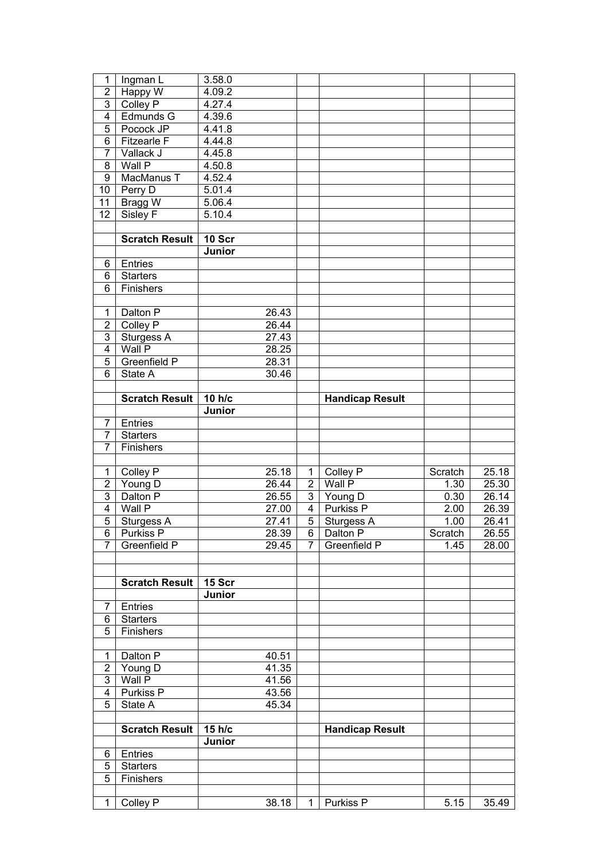| 1                                | Ingman L              | 3.58.0        |                             |                                  |                                           |              |                |
|----------------------------------|-----------------------|---------------|-----------------------------|----------------------------------|-------------------------------------------|--------------|----------------|
| $\overline{2}$                   | Happy W               | 4.09.2        |                             |                                  |                                           |              |                |
| $\overline{3}$                   | Colley P              | 4.27.4        |                             |                                  |                                           |              |                |
| $\overline{4}$                   | Edmunds G             | 4.39.6        |                             |                                  |                                           |              |                |
| 5                                | Pocock JP             | 4.41.8        |                             |                                  |                                           |              |                |
| 6                                | <b>Fitzearle F</b>    | 4.44.8        |                             |                                  |                                           |              |                |
| $\overline{7}$                   | Vallack J             | 4.45.8        |                             |                                  |                                           |              |                |
| 8                                | Wall P                | 4.50.8        |                             |                                  |                                           |              |                |
| 9                                | MacManus T            | 4.52.4        |                             |                                  |                                           |              |                |
| 10                               | Perry D               | 5.01.4        |                             |                                  |                                           |              |                |
| 11                               | Bragg W               | 5.06.4        |                             |                                  |                                           |              |                |
| 12                               | Sisley F              | 5.10.4        |                             |                                  |                                           |              |                |
|                                  | <b>Scratch Result</b> | <b>10 Scr</b> |                             |                                  |                                           |              |                |
|                                  |                       | Junior        |                             |                                  |                                           |              |                |
| 6                                | Entries               |               |                             |                                  |                                           |              |                |
| 6                                | <b>Starters</b>       |               |                             |                                  |                                           |              |                |
| 6                                | Finishers             |               |                             |                                  |                                           |              |                |
|                                  |                       |               |                             |                                  |                                           |              |                |
| $\mathbf 1$                      | Dalton P              |               | 26.43                       |                                  |                                           |              |                |
| $\overline{2}$                   | Colley P              |               | 26.44                       |                                  |                                           |              |                |
| 3                                | Sturgess A            |               | 27.43                       |                                  |                                           |              |                |
| $\overline{4}$                   | Wall P                |               | 28.25                       |                                  |                                           |              |                |
| $\overline{5}$                   | Greenfield P          |               | 28.31                       |                                  |                                           |              |                |
| 6                                | State A               |               | 30.46                       |                                  |                                           |              |                |
|                                  |                       |               |                             |                                  |                                           |              |                |
|                                  | <b>Scratch Result</b> | 10 h/c        |                             |                                  | <b>Handicap Result</b>                    |              |                |
|                                  |                       | Junior        |                             |                                  |                                           |              |                |
| 7                                | Entries               |               |                             |                                  |                                           |              |                |
| $\overline{7}$                   | <b>Starters</b>       |               |                             |                                  |                                           |              |                |
| $\overline{7}$                   | Finishers             |               |                             |                                  |                                           |              |                |
|                                  |                       |               |                             |                                  |                                           |              |                |
| $\mathbf 1$                      | Colley P              |               | 25.18                       | 1                                | Colley P                                  | Scratch      | 25.18          |
| $\overline{2}$<br>$\overline{3}$ | Young D               |               | 26.44<br>$26.\overline{55}$ | $\overline{2}$<br>3 <sup>1</sup> | Wall P                                    | 1.30<br>0.30 | 25.30          |
| $\overline{4}$                   | Dalton P<br>Wall P    |               | 27.00                       | $\overline{4}$                   | $\overline{Y}$ oung D<br><b>Purkiss P</b> | 2.00         | 26.14<br>26.39 |
| $\overline{5}$                   | Sturgess A            |               | 27.41                       | $\overline{5}$                   | Sturgess A                                | 1.00         | 26.41          |
|                                  | 6 Purkiss P           |               | 28.39                       |                                  | 6 Dalton P                                | Scratch      | 26.55          |
| $\overline{7}$                   | Greenfield P          |               | 29.45                       | 7                                | Greenfield P                              | 1.45         | 28.00          |
|                                  |                       |               |                             |                                  |                                           |              |                |
|                                  |                       |               |                             |                                  |                                           |              |                |
|                                  | <b>Scratch Result</b> | 15 Scr        |                             |                                  |                                           |              |                |
|                                  |                       | Junior        |                             |                                  |                                           |              |                |
| 7                                | Entries               |               |                             |                                  |                                           |              |                |
| 6                                | <b>Starters</b>       |               |                             |                                  |                                           |              |                |
| 5                                | Finishers             |               |                             |                                  |                                           |              |                |
|                                  |                       |               |                             |                                  |                                           |              |                |
| 1                                | Dalton P              |               | 40.51                       |                                  |                                           |              |                |
| $\overline{2}$                   | Young D               |               | 41.35                       |                                  |                                           |              |                |
| 3                                | Wall P                |               | 41.56                       |                                  |                                           |              |                |
| 4                                | Purkiss P             |               | 43.56                       |                                  |                                           |              |                |
| 5                                | State A               |               | 45.34                       |                                  |                                           |              |                |
|                                  | <b>Scratch Result</b> | 15 h/c        |                             |                                  | <b>Handicap Result</b>                    |              |                |
|                                  |                       | Junior        |                             |                                  |                                           |              |                |
| 6                                | Entries               |               |                             |                                  |                                           |              |                |
| 5                                | <b>Starters</b>       |               |                             |                                  |                                           |              |                |
| 5                                | Finishers             |               |                             |                                  |                                           |              |                |
|                                  |                       |               |                             |                                  |                                           |              |                |
| 1                                | Colley P              |               | 38.18                       | 1                                | Purkiss P                                 | 5.15         | 35.49          |